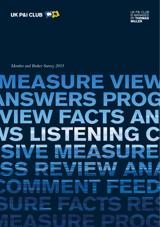



*Member and Broker Survey 2013*

### **MEASURE VIEW INSWERS PRO** G VIEW FACTS AN VS LISTENING C EA VE N ▙ SI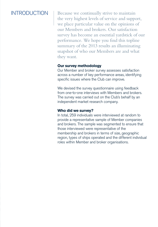### INTRODUCTION

Because we continually strive to maintain the very highest levels of service and support, we place particular value on the opinions of our Members and brokers. Our satisfaction survey has become an essential yardstick of our performance. We hope you find this topline summary of the 2013 results an illuminating snapshot of who our Members are and what they want.

### **Our survey methodology**

Our Member and broker survey assesses satisfaction across a number of key performance areas, identifying specific issues where the Club can improve.

We devised the survey questionnaire using feedback from one-to-one interviews with Members and brokers. The survey was carried out on the Club's behalf by an independent market research company.

### **Who did we survey?**

In total, 259 individuals were interviewed at random to provide a representative sample of Member companies and brokers. The sample was segmented to ensure that those interviewed were representative of the membership and brokers in terms of size, geographic region, types of ships operated and the different individual roles within Member and broker organisations.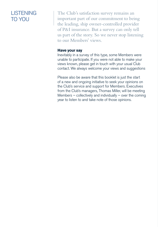### Listening TO YOU

The Club's satisfaction survey remains an important part of our commitment to being the leading, ship owner-controlled provider of P&I insurance. But a survey can only tell us part of the story. So we never stop listening to our Members' views.

### **Have your say**

Inevitably in a survey of this type, some Members were unable to participate. If you were not able to make your views known, please get in touch with your usual Club contact. We always welcome your views and suggestions

Please also be aware that this booklet is just the start of a new and ongoing initiative to seek your opinions on the Club's service and support for Members. Executives from the Club's managers, Thomas Miller, will be meeting Members  $-$  collectively and individually  $-$  over the coming year to listen to and take note of those opinions.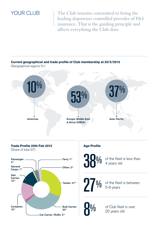YOUR CLUB | The Club remains committed to being the leading shipowner controlled provider of P&I insurance. That is the guiding principle and affects everything the Club does.

### **Current geographical and trade profile of Club membership at 20/2/2013**  (Geographical regions % )

Europe, Middle East Americas Asia–Pacific & Africa (EMEA) 37% 53% 10%

#### **Trade Profile 20th Feb 2013** (Share of total GT)



### **Age Profile**

38%

of the fleet is less than 4 years old

## 27%

of the fleet is between 5-9 years



of Club fleet is over 20 years old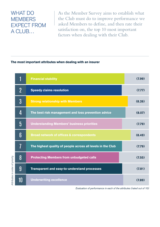### **WHAT DO MEMBERS** expect from a Club…

As the Member Survey aims to establish what the Club must do to improve performance we asked Members to define, and then rate their satisfaction on, the top 10 most important factors when dealing with their Club.

#### **The most important attributes when dealing with an insurer**

|                                 |                 | <b>Financial stability</b>                                  | (7.99) |
|---------------------------------|-----------------|-------------------------------------------------------------|--------|
| Attributes in order of priority | $\overline{2}$  | <b>Speedy claims resolution</b>                             | (7.77) |
|                                 | $3\overline{3}$ | <b>Strong relationship with Members</b>                     | (8.26) |
|                                 | 4               | The best risk management and loss prevention advice         | (8.07) |
|                                 | 5               | <b>Understanding Members' business priorities</b>           | (7.79) |
|                                 | 6               | <b>Broad network of offices &amp; correspondents</b>        | (8.49) |
|                                 | 7               | The highest quality of people across all levels in the Club | (7.79) |
|                                 | 8               | <b>Protecting Members from unbudgeted calls</b>             | (7.55) |
|                                 | 9               | Transparent and easy-to-understand processes                | (7.81) |
|                                 | 10              | <b>Underwriting excellence</b>                              | (7.89) |

 *Evaluation of performance in each of the attributes (rated out of 10)*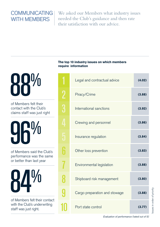### **COMMUNICATING** WITH MEMBERS

We asked our Members what industry issues needed the Club's guidance and then rate their satisfaction with our advice.

# 88%

of Members felt their contact with the Club's claims staff was just right

96% of Members said the Club's

performance was the same or better than last year



of Members felt their contact with the Club's underwriting staff was just right.

### **The top 10 industry issues on which members require information**

|                | Legal and contractual advice  | (4.02) |
|----------------|-------------------------------|--------|
| 2              | Piracy/Crime                  | (3.88) |
| $\overline{3}$ | International sanctions       | (3.92) |
| $\overline{4}$ | Crewing and personnel         | (3.86) |
| 5              | Insurance regulation          | (3.84) |
| 6              | Other loss prevention         | (3.83) |
| 7              | Environmental legislation     | (3.88) |
| 8              | Shipboard risk management     | (3.80) |
|                | Cargo preparation and stowage | (3.88) |
|                | Port state control            | (3.77) |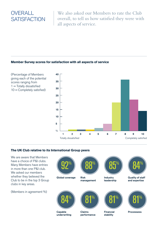### OVFRALL **SATISFACTION**

We also asked our Members to rate the Club overall, to tell us how satisfied they were with all aspects of service.

### **Member Survey scores for satisfaction with all aspects of service**



### **The UK Club relative to its International Group peers**

We are aware that Members have a choice of P&I clubs. Many Members have entries in more than one P&I club. We asked our members whether they believed the Club to be in the top 3 Group clubs in key areas.

(Members in agreement %)



Capable underwriting

Claims performance

Financial stability



**Processess**